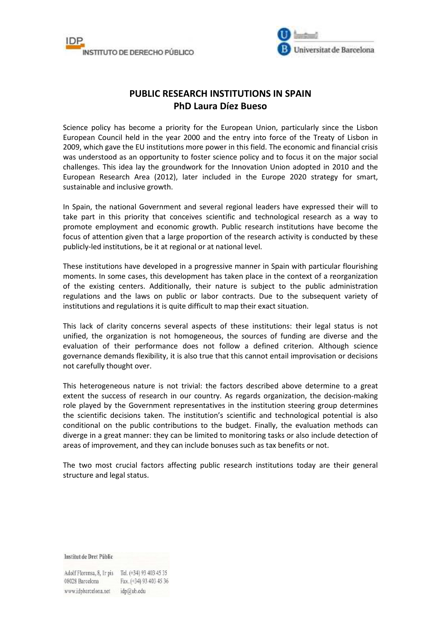



## **PUBLIC RESEARCH INSTITUTIONS IN SPAIN PhD Laura Díez Bueso**

Science policy has become a priority for the European Union, particularly since the Lisbon European Council held in the year 2000 and the entry into force of the Treaty of Lisbon in 2009, which gave the EU institutions more power in this field. The economic and financial crisis was understood as an opportunity to foster science policy and to focus it on the major social challenges. This idea lay the groundwork for the Innovation Union adopted in 2010 and the European Research Area (2012), later included in the Europe 2020 strategy for smart, sustainable and inclusive growth.

In Spain, the national Government and several regional leaders have expressed their will to take part in this priority that conceives scientific and technological research as a way to promote employment and economic growth. Public research institutions have become the focus of attention given that a large proportion of the research activity is conducted by these publicly-led institutions, be it at regional or at national level.

These institutions have developed in a progressive manner in Spain with particular flourishing moments. In some cases, this development has taken place in the context of a reorganization of the existing centers. Additionally, their nature is subject to the public administration regulations and the laws on public or labor contracts. Due to the subsequent variety of institutions and regulations it is quite difficult to map their exact situation.

This lack of clarity concerns several aspects of these institutions: their legal status is not unified, the organization is not homogeneous, the sources of funding are diverse and the evaluation of their performance does not follow a defined criterion. Although science governance demands flexibility, it is also true that this cannot entail improvisation or decisions not carefully thought over.

This heterogeneous nature is not trivial: the factors described above determine to a great extent the success of research in our country. As regards organization, the decision-making role played by the Government representatives in the institution steering group determines the scientific decisions taken. The institution's scientific and technological potential is also conditional on the public contributions to the budget. Finally, the evaluation methods can diverge in a great manner: they can be limited to monitoring tasks or also include detection of areas of improvement, and they can include bonuses such as tax benefits or not.

The two most crucial factors affecting public research institutions today are their general structure and legal status.

Institut de Dret Públic

Adolf Florensa, 8, Ir pis Tel. (+34) 93 403 45 35 08028 Barcelona Fax. (+34) 93 403 45 36 www.idpbarcelona.net idp@ub.edu